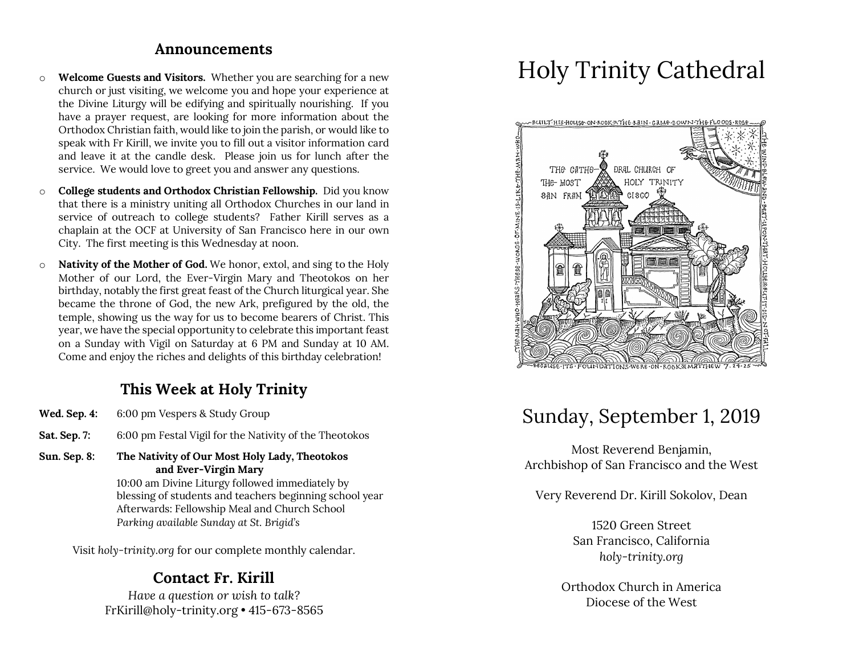#### **Announcements**

- o **Welcome Guests and Visitors.** Whether you are searching for a new church or just visiting, we welcome you and hope your experience at the Divine Liturgy will be edifying and spiritually nourishing. If you have a prayer request, are looking for more information about the Orthodox Christian faith, would like to join the parish, or would like to speak with Fr Kirill, we invite you to fill out a visitor information card and leave it at the candle desk. Please join us for lunch after the service. We would love to greet you and answer any questions.
- o **College students and Orthodox Christian Fellowship.** Did you know that there is a ministry uniting all Orthodox Churches in our land in service of outreach to college students? Father Kirill serves as a chaplain at the OCF at University of San Francisco here in our own City. The first meeting is this Wednesday at noon.
- o **Nativity of the Mother of God.** We honor, extol, and sing to the Holy Mother of our Lord, the Ever-Virgin Mary and Theotokos on her birthday, notably the first great feast of the Church liturgical year. She became the throne of God, the new Ark, prefigured by the old, the temple, showing us the way for us to become bearers of Christ. This year, we have the special opportunity to celebrate this important feast on a Sunday with Vigil on Saturday at 6 PM and Sunday at 10 AM. Come and enjoy the riches and delights of this birthday celebration!

# **This Week at Holy Trinity**

- **Wed. Sep. 4:** 6:00 pm Vespers & Study Group
- **Sat. Sep. 7:** 6:00 pm Festal Vigil for the Nativity of the Theotokos
- **Sun. Sep. 8: The Nativity of Our Most Holy Lady, Theotokos and Ever-Virgin Mary**

10:00 am Divine Liturgy followed immediately by blessing of students and teachers beginning school year Afterwards: Fellowship Meal and Church School *Parking available Sunday at St. Brigid's*

Visit *holy-trinity.org* for our complete monthly calendar.

# **Contact Fr. Kirill**

*Have a question or wish to talk?* FrKirill@holy-trinity.org • 415-673-8565

# Holy Trinity Cathedral



# Sunday, September 1, 2019

Most Reverend Benjamin, Archbishop of San Francisco and the West

Very Reverend Dr. Kirill Sokolov, Dean

1520 Green Street San Francisco, California *holy-trinity.org*

Orthodox Church in America Diocese of the West